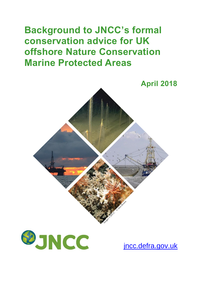# **Background to JNCC's formal conservation advice for UK offshore Nature Conservation Marine Protected Areas**





[jncc.defra.gov.uk](http://www.jncc.defra.gov.uk/)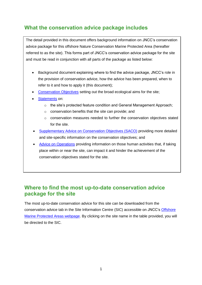# **What the conservation advice package includes**

The detail provided in this document offers background information on JNCC's conservation advice package for this offshore Nature Conservation Marine Protected Area (hereafter referred to as the site). This forms part of JNCC's conservation advice package for the site and must be read in conjunction with all parts of the package as listed below:

- Background document explaining where to find the advice package, JNCC's role in the provision of conservation advice, how the advice has been prepared, when to refer to it and how to apply it (this document);
- [Conservation Objectives](http://jncc.defra.gov.uk/pdf/NBSP_ConservationObjectives_v1.0.pdf) setting out the broad ecological aims for the site;
- [Statements](http://jncc.defra.gov.uk/pdf/NBSP_ConservationStatements_v1.0.pdf) on:
	- o the site's protected feature condition and General Management Approach;
	- o conservation benefits that the site can provide; and
	- $\circ$  conservation measures needed to further the conservation objectives stated for the site.
- [Supplementary Advice on Conservation Objectives \(SACO\)](http://jncc.defra.gov.uk/pdf/NBSP_SACO_v1.0.pdf) providing more detailed and site-specific information on the conservation objectives; and
- [Advice on Operations](http://jncc.defra.gov.uk/docs/NBSP_AdviceOnOperations_v1.0.xlsx) providing information on those human activities that, if taking place within or near the site, can impact it and hinder the achievement of the conservation objectives stated for the site.

#### **Where to find the most up-to-date conservation advice package for the site**

The most up-to-date conservation advice for this site can be downloaded from the conservation advice tab in the Site Information Centre (SIC) accessible on JNCC's [Offshore](http://jncc.defra.gov.uk/offshoreMPAs)  [Marine Protected Areas webpage.](http://jncc.defra.gov.uk/offshoreMPAs) By clicking on the site name in the table provided, you will be directed to the SIC.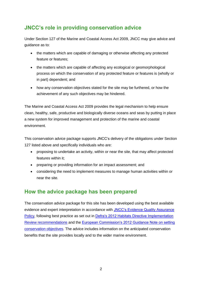# **JNCC's role in providing conservation advice**

Under Section 127 of the Marine and Coastal Access Act 2009, JNCC may give advice and guidance as to:

- the matters which are capable of damaging or otherwise affecting any protected feature or features;
- the matters which are capable of affecting any ecological or geomorphological process on which the conservation of any protected feature or features is (wholly or in part) dependent; and
- how any conservation objectives stated for the site may be furthered, or how the achievement of any such objectives may be hindered.

The Marine and Coastal Access Act 2009 provides the legal mechanism to help ensure clean, healthy, safe, productive and biologically diverse oceans and seas by putting in place a new system for improved management and protection of the marine and coastal environment.

This conservation advice package supports JNCC's delivery of the obligations under Section 127 listed above and specifically individuals who are:

- proposing to undertake an activity, within or near the site, that may affect protected features within it;
- preparing or providing information for an impact assessment; and
- considering the need to implement measures to manage human activities within or near the site.

## **How the advice package has been prepared**

The conservation advice package for this site has been developed using the best available evidence and expert interpretation in accordance with [JNCC's Evidence Quality Assurance](http://jncc.defra.gov.uk/page-6675)  [Policy,](http://jncc.defra.gov.uk/page-6675) following best practice as set out in [Defra's 2012 Habitats Directive Implementation](https://www.gov.uk/government/uploads/system/uploads/attachment_data/file/69513/pb13724-habitats-review-report.pdf)  [Review recommendations](https://www.gov.uk/government/uploads/system/uploads/attachment_data/file/69513/pb13724-habitats-review-report.pdf) and the [European Commission's 2012 Guidance Note on setting](http://ec.europa.eu/environment/nature/natura2000/management/docs/commission_note/commission_note2_EN.pdf)  [conservation objectives.](http://ec.europa.eu/environment/nature/natura2000/management/docs/commission_note/commission_note2_EN.pdf) The advice includes information on the anticipated conservation benefits that the site provides locally and to the wider marine environment.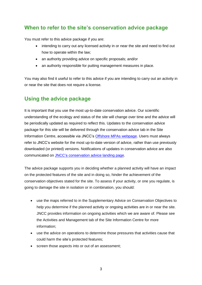#### **When to refer to the site's conservation advice package**

You must refer to this advice package if you are:

- intending to carry out any licensed activity in or near the site and need to find out how to operate within the law;
- an authority providing advice on specific proposals; and/or
- an authority responsible for putting management measures in place.

You may also find it useful to refer to this advice if you are intending to carry out an activity in or near the site that does not require a license.

#### **Using the advice package**

It is important that you use the most up-to-date conservation advice. Our scientific understanding of the ecology and status of the site will change over time and the advice will be periodically updated as required to reflect this. Updates to the conservation advice package for this site will be delivered through the conservation advice tab in the Site Information Centre, accessible via JNCC's [Offshore MPAs webpage.](http://jncc.defra.gov.uk/offshoreMPAs) Users must always refer to JNCC's website for the most up-to-date version of advice, rather than use previously downloaded (or printed) versions. Notifications of updates in conservation advice are also communicated on JNCC's [conservation advice landing page.](http://jncc.defra.gov.uk/default.aspx?page=6849)

The advice package supports you in deciding whether a planned activity will have an impact on the protected features of the site and in doing so, hinder the achievement of the conservation objectives stated for the site. To assess if your activity, or one you regulate, is going to damage the site in isolation or in combination, you should:

- use the maps referred to in the Supplementary Advice on Conservation Objectives to help you determine if the planned activity or ongoing activities are in or near the site. JNCC provides information on ongoing activities which we are aware of. Please see the Activities and Management tab of the Site Information Centre for more information;
- use the advice on operations to determine those pressures that activities cause that could harm the site's protected features;
- screen those aspects into or out of an assessment;